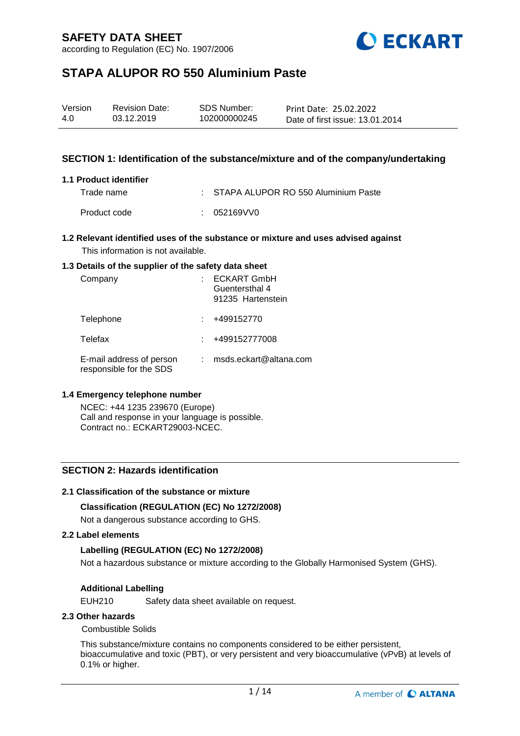according to Regulation (EC) No. 1907/2006



# **STAPA ALUPOR RO 550 Aluminium Paste**

| Version | <b>Revision Date:</b> | SDS Number:  | Print Date: 25.02.2022          |
|---------|-----------------------|--------------|---------------------------------|
| 4.0     | 03.12.2019            | 102000000245 | Date of first issue: 13.01.2014 |

### **SECTION 1: Identification of the substance/mixture and of the company/undertaking**

### **1.1 Product identifier**

Trade name : STAPA ALUPOR RO 550 Aluminium Paste Product code : 052169VV0

### **1.2 Relevant identified uses of the substance or mixture and uses advised against** This information is not available.

### **1.3 Details of the supplier of the safety data sheet**

| Company                                             | <b>ECKART GmbH</b><br>Guentersthal 4<br>91235 Hartenstein |
|-----------------------------------------------------|-----------------------------------------------------------|
| Telephone                                           | +499152770                                                |
| Telefax                                             | +499152777008                                             |
| E-mail address of person<br>responsible for the SDS | msds.eckart@altana.com                                    |

### **1.4 Emergency telephone number**

NCEC: +44 1235 239670 (Europe) Call and response in your language is possible. Contract no.: ECKART29003-NCEC.

### **SECTION 2: Hazards identification**

### **2.1 Classification of the substance or mixture**

### **Classification (REGULATION (EC) No 1272/2008)**

Not a dangerous substance according to GHS.

#### **2.2 Label elements**

### **Labelling (REGULATION (EC) No 1272/2008)**

Not a hazardous substance or mixture according to the Globally Harmonised System (GHS).

### **Additional Labelling**

EUH210 Safety data sheet available on request.

### **2.3 Other hazards**

### Combustible Solids

This substance/mixture contains no components considered to be either persistent, bioaccumulative and toxic (PBT), or very persistent and very bioaccumulative (vPvB) at levels of 0.1% or higher.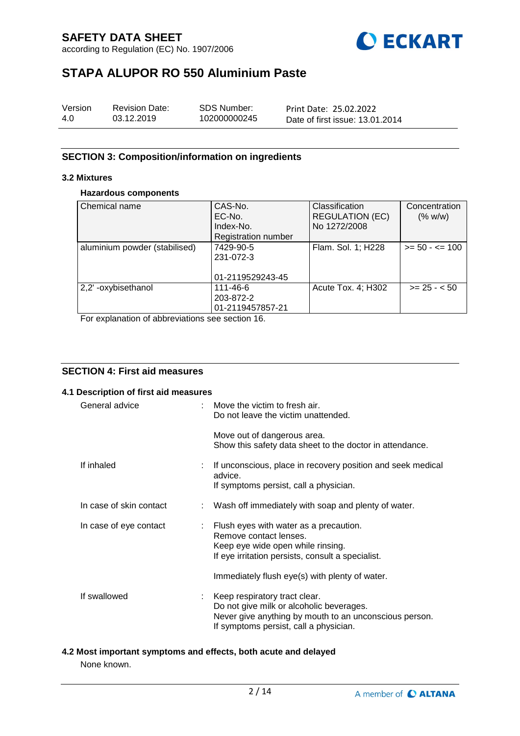according to Regulation (EC) No. 1907/2006



# **STAPA ALUPOR RO 550 Aluminium Paste**

| Version | <b>Revision Date:</b> | SDS Number:  | Print Date: 25.02.2022          |
|---------|-----------------------|--------------|---------------------------------|
| 4.0     | 03.12.2019            | 102000000245 | Date of first issue: 13.01.2014 |

## **SECTION 3: Composition/information on ingredients**

### **3.2 Mixtures**

### **Hazardous components**

| Chemical name                 | CAS-No.<br>EC-No.<br>Index-No.<br>Registration number | Classification<br><b>REGULATION (EC)</b><br>No 1272/2008 | Concentration<br>(% w/w) |
|-------------------------------|-------------------------------------------------------|----------------------------------------------------------|--------------------------|
| aluminium powder (stabilised) | 7429-90-5<br>231-072-3<br>01-2119529243-45            | Flam. Sol. 1; H228                                       | $>= 50 - 5 = 100$        |
| 2,2'-oxybisethanol            | 111-46-6<br>203-872-2<br>01-2119457857-21             | Acute Tox. 4; H302                                       | $>= 25 - 50$             |

For explanation of abbreviations see section 16.

## **SECTION 4: First aid measures**

| 4.1 Description of first aid measures |                                                                                                                                                                                                                |
|---------------------------------------|----------------------------------------------------------------------------------------------------------------------------------------------------------------------------------------------------------------|
| General advice                        | : Move the victim to fresh air.<br>Do not leave the victim unattended.                                                                                                                                         |
|                                       | Move out of dangerous area.<br>Show this safety data sheet to the doctor in attendance.                                                                                                                        |
| If inhaled                            | : If unconscious, place in recovery position and seek medical<br>advice.<br>If symptoms persist, call a physician.                                                                                             |
| In case of skin contact               | : Wash off immediately with soap and plenty of water.                                                                                                                                                          |
| In case of eye contact                | : Flush eyes with water as a precaution.<br>Remove contact lenses.<br>Keep eye wide open while rinsing.<br>If eye irritation persists, consult a specialist.<br>Immediately flush eye(s) with plenty of water. |
| If swallowed                          | : Keep respiratory tract clear.<br>Do not give milk or alcoholic beverages.<br>Never give anything by mouth to an unconscious person.<br>If symptoms persist, call a physician.                                |

# **4.2 Most important symptoms and effects, both acute and delayed**

None known.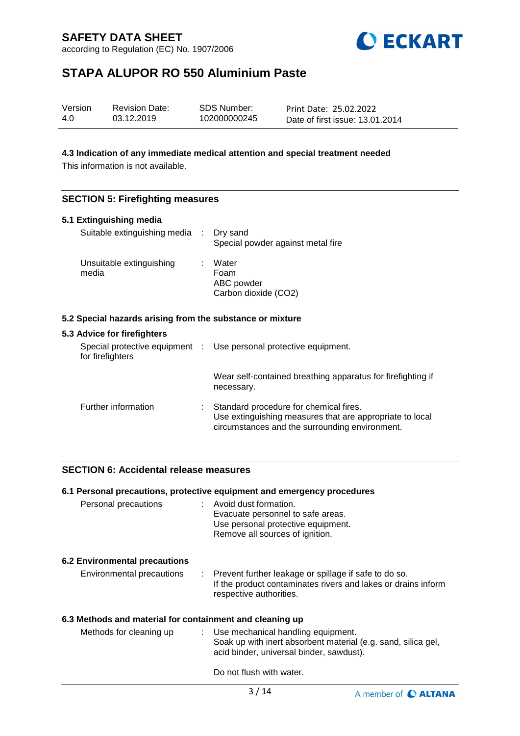according to Regulation (EC) No. 1907/2006



# **STAPA ALUPOR RO 550 Aluminium Paste**

| Version | <b>Revision Date:</b> | SDS Number:  | Print Date: 25.02.2022          |
|---------|-----------------------|--------------|---------------------------------|
| 4.0     | 03.12.2019            | 102000000245 | Date of first issue: 13.01.2014 |

### **4.3 Indication of any immediate medical attention and special treatment needed**

This information is not available.

### **SECTION 5: Firefighting measures**

|       | 5.1 Extinguishing media                                   |                                                                                                                                                      |
|-------|-----------------------------------------------------------|------------------------------------------------------------------------------------------------------------------------------------------------------|
|       | Suitable extinguishing media : Dry sand                   | Special powder against metal fire                                                                                                                    |
| media | Unsuitable extinguishing                                  | Water<br>Foam<br>ABC powder<br>Carbon dioxide (CO2)                                                                                                  |
|       | 5.2 Special hazards arising from the substance or mixture |                                                                                                                                                      |
|       | 5.3 Advice for firefighters                               |                                                                                                                                                      |
|       | for firefighters                                          | Special protective equipment : Use personal protective equipment.                                                                                    |
|       |                                                           | Wear self-contained breathing apparatus for firefighting if<br>necessary.                                                                            |
|       | Further information                                       | Standard procedure for chemical fires.<br>Use extinguishing measures that are appropriate to local<br>circumstances and the surrounding environment. |

## **SECTION 6: Accidental release measures**

|                                                          | 6.1 Personal precautions, protective equipment and emergency procedures                                                                             |
|----------------------------------------------------------|-----------------------------------------------------------------------------------------------------------------------------------------------------|
| Personal precautions                                     | : Avoid dust formation.<br>Evacuate personnel to safe areas.<br>Use personal protective equipment.<br>Remove all sources of ignition.               |
| <b>6.2 Environmental precautions</b>                     |                                                                                                                                                     |
| Environmental precautions                                | : Prevent further leakage or spillage if safe to do so.<br>If the product contaminates rivers and lakes or drains inform<br>respective authorities. |
| 6.3 Methods and material for containment and cleaning up |                                                                                                                                                     |
| Methods for cleaning up                                  | : Use mechanical handling equipment.<br>Soak up with inert absorbent material (e.g. sand, silica gel,<br>acid binder, universal binder, sawdust).   |
|                                                          | Do not flush with water.                                                                                                                            |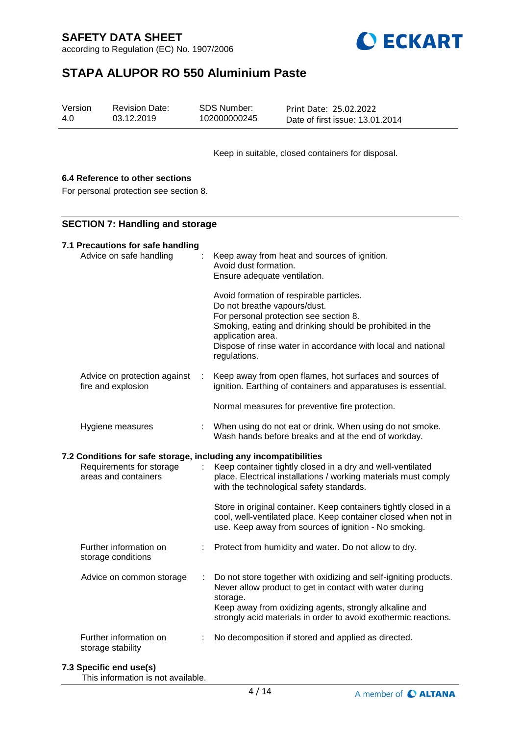according to Regulation (EC) No. 1907/2006



# **STAPA ALUPOR RO 550 Aluminium Paste**

| Version | <b>Revision Date:</b> | SDS Number:  | Print Date: 25.02.2022          |
|---------|-----------------------|--------------|---------------------------------|
| 4.0     | 03.12.2019            | 102000000245 | Date of first issue: 13.01.2014 |

Keep in suitable, closed containers for disposal.

## **6.4 Reference to other sections**

For personal protection see section 8.

### **SECTION 7: Handling and storage**

| 7.1 Precautions for safe handling<br>Advice on safe handling                                                         |    | Keep away from heat and sources of ignition.<br>Avoid dust formation.<br>Ensure adequate ventilation.<br>Avoid formation of respirable particles.<br>Do not breathe vapours/dust.<br>For personal protection see section 8.<br>Smoking, eating and drinking should be prohibited in the<br>application area.<br>Dispose of rinse water in accordance with local and national<br>regulations. |
|----------------------------------------------------------------------------------------------------------------------|----|----------------------------------------------------------------------------------------------------------------------------------------------------------------------------------------------------------------------------------------------------------------------------------------------------------------------------------------------------------------------------------------------|
| Advice on protection against<br>fire and explosion                                                                   | ÷. | Keep away from open flames, hot surfaces and sources of<br>ignition. Earthing of containers and apparatuses is essential.                                                                                                                                                                                                                                                                    |
|                                                                                                                      |    | Normal measures for preventive fire protection.                                                                                                                                                                                                                                                                                                                                              |
| Hygiene measures                                                                                                     | ÷  | When using do not eat or drink. When using do not smoke.<br>Wash hands before breaks and at the end of workday.                                                                                                                                                                                                                                                                              |
| 7.2 Conditions for safe storage, including any incompatibilities<br>Requirements for storage<br>areas and containers |    | Keep container tightly closed in a dry and well-ventilated<br>place. Electrical installations / working materials must comply                                                                                                                                                                                                                                                                |
|                                                                                                                      |    | with the technological safety standards.                                                                                                                                                                                                                                                                                                                                                     |
|                                                                                                                      |    | Store in original container. Keep containers tightly closed in a<br>cool, well-ventilated place. Keep container closed when not in<br>use. Keep away from sources of ignition - No smoking.                                                                                                                                                                                                  |
| Further information on<br>storage conditions                                                                         |    | Protect from humidity and water. Do not allow to dry.                                                                                                                                                                                                                                                                                                                                        |
| Advice on common storage                                                                                             | ÷  | Do not store together with oxidizing and self-igniting products.<br>Never allow product to get in contact with water during<br>storage.<br>Keep away from oxidizing agents, strongly alkaline and<br>strongly acid materials in order to avoid exothermic reactions.                                                                                                                         |

### **7.3 Specific end use(s)**

This information is not available.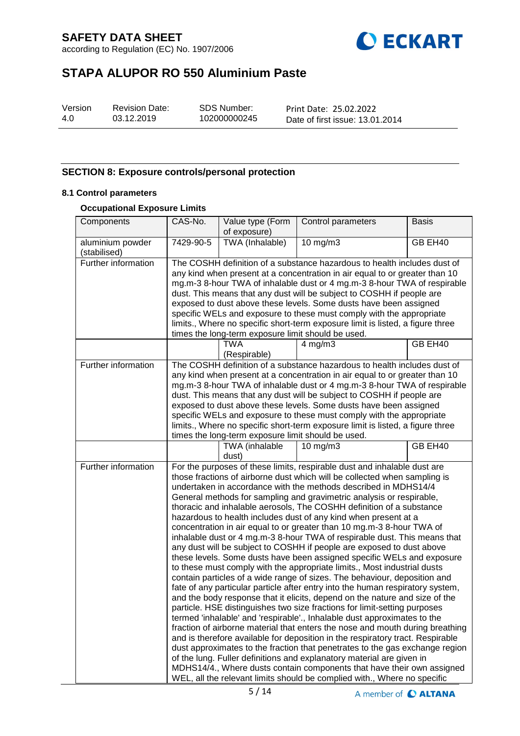according to Regulation (EC) No. 1907/2006



# **STAPA ALUPOR RO 550 Aluminium Paste**

| Version |  |
|---------|--|
| 4.0     |  |

Revision Date: 03.12.2019

SDS Number: 102000000245 Print Date: 25.02.2022 Date of first issue: 13.01.2014

## **SECTION 8: Exposure controls/personal protection**

### **8.1 Control parameters**

### **Occupational Exposure Limits**

| Components                       | CAS-No.                                                                                                                                                                                                                                                                                                                                                                                                                                                                                                                                                                                           | Value type (Form<br>of exposure)                   | Control parameters                                                                                                                                                                                                                                                                                                                                                                                                                                                                                                                                                                                                                                                                                                                                                                                                                                                                                                                                                                                                                                                                                                                                                                                                                                                                                                                                                                                                                                                                                                                                                                                                                                                                                                        | <b>Basis</b> |  |
|----------------------------------|---------------------------------------------------------------------------------------------------------------------------------------------------------------------------------------------------------------------------------------------------------------------------------------------------------------------------------------------------------------------------------------------------------------------------------------------------------------------------------------------------------------------------------------------------------------------------------------------------|----------------------------------------------------|---------------------------------------------------------------------------------------------------------------------------------------------------------------------------------------------------------------------------------------------------------------------------------------------------------------------------------------------------------------------------------------------------------------------------------------------------------------------------------------------------------------------------------------------------------------------------------------------------------------------------------------------------------------------------------------------------------------------------------------------------------------------------------------------------------------------------------------------------------------------------------------------------------------------------------------------------------------------------------------------------------------------------------------------------------------------------------------------------------------------------------------------------------------------------------------------------------------------------------------------------------------------------------------------------------------------------------------------------------------------------------------------------------------------------------------------------------------------------------------------------------------------------------------------------------------------------------------------------------------------------------------------------------------------------------------------------------------------------|--------------|--|
| aluminium powder<br>(stabilised) | 7429-90-5                                                                                                                                                                                                                                                                                                                                                                                                                                                                                                                                                                                         | TWA (Inhalable)                                    | 10 mg/m3                                                                                                                                                                                                                                                                                                                                                                                                                                                                                                                                                                                                                                                                                                                                                                                                                                                                                                                                                                                                                                                                                                                                                                                                                                                                                                                                                                                                                                                                                                                                                                                                                                                                                                                  | GB EH40      |  |
| Further information              | The COSHH definition of a substance hazardous to health includes dust of<br>any kind when present at a concentration in air equal to or greater than 10<br>mg.m-3 8-hour TWA of inhalable dust or 4 mg.m-3 8-hour TWA of respirable<br>dust. This means that any dust will be subject to COSHH if people are<br>exposed to dust above these levels. Some dusts have been assigned<br>specific WELs and exposure to these must comply with the appropriate<br>limits., Where no specific short-term exposure limit is listed, a figure three<br>times the long-term exposure limit should be used. |                                                    |                                                                                                                                                                                                                                                                                                                                                                                                                                                                                                                                                                                                                                                                                                                                                                                                                                                                                                                                                                                                                                                                                                                                                                                                                                                                                                                                                                                                                                                                                                                                                                                                                                                                                                                           |              |  |
|                                  |                                                                                                                                                                                                                                                                                                                                                                                                                                                                                                                                                                                                   | <b>TWA</b><br>(Respirable)                         | $4$ mg/m $3$                                                                                                                                                                                                                                                                                                                                                                                                                                                                                                                                                                                                                                                                                                                                                                                                                                                                                                                                                                                                                                                                                                                                                                                                                                                                                                                                                                                                                                                                                                                                                                                                                                                                                                              | GB EH40      |  |
| Further information              |                                                                                                                                                                                                                                                                                                                                                                                                                                                                                                                                                                                                   | times the long-term exposure limit should be used. | The COSHH definition of a substance hazardous to health includes dust of<br>any kind when present at a concentration in air equal to or greater than 10<br>mg.m-3 8-hour TWA of inhalable dust or 4 mg.m-3 8-hour TWA of respirable<br>dust. This means that any dust will be subject to COSHH if people are<br>exposed to dust above these levels. Some dusts have been assigned<br>specific WELs and exposure to these must comply with the appropriate<br>limits., Where no specific short-term exposure limit is listed, a figure three                                                                                                                                                                                                                                                                                                                                                                                                                                                                                                                                                                                                                                                                                                                                                                                                                                                                                                                                                                                                                                                                                                                                                                               |              |  |
|                                  |                                                                                                                                                                                                                                                                                                                                                                                                                                                                                                                                                                                                   | TWA (inhalable<br>dust)                            | 10 mg/m3                                                                                                                                                                                                                                                                                                                                                                                                                                                                                                                                                                                                                                                                                                                                                                                                                                                                                                                                                                                                                                                                                                                                                                                                                                                                                                                                                                                                                                                                                                                                                                                                                                                                                                                  | GB EH40      |  |
| Further information              |                                                                                                                                                                                                                                                                                                                                                                                                                                                                                                                                                                                                   |                                                    | For the purposes of these limits, respirable dust and inhalable dust are<br>those fractions of airborne dust which will be collected when sampling is<br>undertaken in accordance with the methods described in MDHS14/4<br>General methods for sampling and gravimetric analysis or respirable,<br>thoracic and inhalable aerosols, The COSHH definition of a substance<br>hazardous to health includes dust of any kind when present at a<br>concentration in air equal to or greater than 10 mg.m-3 8-hour TWA of<br>inhalable dust or 4 mg.m-3 8-hour TWA of respirable dust. This means that<br>any dust will be subject to COSHH if people are exposed to dust above<br>these levels. Some dusts have been assigned specific WELs and exposure<br>to these must comply with the appropriate limits., Most industrial dusts<br>contain particles of a wide range of sizes. The behaviour, deposition and<br>fate of any particular particle after entry into the human respiratory system,<br>and the body response that it elicits, depend on the nature and size of the<br>particle. HSE distinguishes two size fractions for limit-setting purposes<br>termed 'inhalable' and 'respirable'., Inhalable dust approximates to the<br>fraction of airborne material that enters the nose and mouth during breathing<br>and is therefore available for deposition in the respiratory tract. Respirable<br>dust approximates to the fraction that penetrates to the gas exchange region<br>of the lung. Fuller definitions and explanatory material are given in<br>MDHS14/4., Where dusts contain components that have their own assigned<br>WEL, all the relevant limits should be complied with., Where no specific |              |  |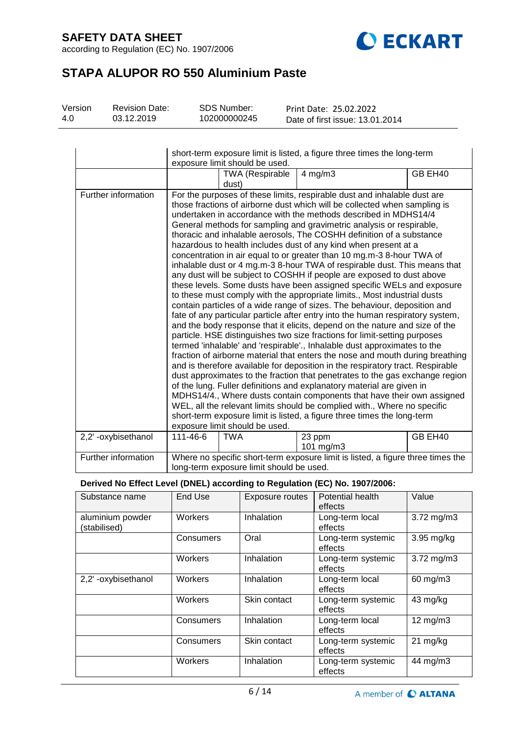according to Regulation (EC) No. 1907/2006



# **STAPA ALUPOR RO 550 Aluminium Paste**

| Version | <b>Revision Date:</b> | SDS Number:  | Print Date: 25.02.2022          |
|---------|-----------------------|--------------|---------------------------------|
| 4.0     | 03.12.2019            | 102000000245 | Date of first issue: 13.01.2014 |

|                     | short-term exposure limit is listed, a figure three times the long-term<br>exposure limit should be used. |                                          |                                                                                                                                                                                                                                                                                                                                                                                                                                                                                                                                                                                                                                                                                                                                                                                                                                                                                                                                                                                                                                                                                                                                                                                                                                                                                                                                                                                                                                                                                                                                                                                                                                                                                                                                                                                                      |         |  |
|---------------------|-----------------------------------------------------------------------------------------------------------|------------------------------------------|------------------------------------------------------------------------------------------------------------------------------------------------------------------------------------------------------------------------------------------------------------------------------------------------------------------------------------------------------------------------------------------------------------------------------------------------------------------------------------------------------------------------------------------------------------------------------------------------------------------------------------------------------------------------------------------------------------------------------------------------------------------------------------------------------------------------------------------------------------------------------------------------------------------------------------------------------------------------------------------------------------------------------------------------------------------------------------------------------------------------------------------------------------------------------------------------------------------------------------------------------------------------------------------------------------------------------------------------------------------------------------------------------------------------------------------------------------------------------------------------------------------------------------------------------------------------------------------------------------------------------------------------------------------------------------------------------------------------------------------------------------------------------------------------------|---------|--|
|                     |                                                                                                           | TWA (Respirable<br>dust)                 | $4$ mg/m $3$                                                                                                                                                                                                                                                                                                                                                                                                                                                                                                                                                                                                                                                                                                                                                                                                                                                                                                                                                                                                                                                                                                                                                                                                                                                                                                                                                                                                                                                                                                                                                                                                                                                                                                                                                                                         | GB EH40 |  |
| Further information |                                                                                                           | exposure limit should be used.           | For the purposes of these limits, respirable dust and inhalable dust are<br>those fractions of airborne dust which will be collected when sampling is<br>undertaken in accordance with the methods described in MDHS14/4<br>General methods for sampling and gravimetric analysis or respirable,<br>thoracic and inhalable aerosols, The COSHH definition of a substance<br>hazardous to health includes dust of any kind when present at a<br>concentration in air equal to or greater than 10 mg.m-3 8-hour TWA of<br>inhalable dust or 4 mg.m-3 8-hour TWA of respirable dust. This means that<br>any dust will be subject to COSHH if people are exposed to dust above<br>these levels. Some dusts have been assigned specific WELs and exposure<br>to these must comply with the appropriate limits., Most industrial dusts<br>contain particles of a wide range of sizes. The behaviour, deposition and<br>fate of any particular particle after entry into the human respiratory system,<br>and the body response that it elicits, depend on the nature and size of the<br>particle. HSE distinguishes two size fractions for limit-setting purposes<br>termed 'inhalable' and 'respirable'., Inhalable dust approximates to the<br>fraction of airborne material that enters the nose and mouth during breathing<br>and is therefore available for deposition in the respiratory tract. Respirable<br>dust approximates to the fraction that penetrates to the gas exchange region<br>of the lung. Fuller definitions and explanatory material are given in<br>MDHS14/4., Where dusts contain components that have their own assigned<br>WEL, all the relevant limits should be complied with., Where no specific<br>short-term exposure limit is listed, a figure three times the long-term |         |  |
| 2,2'-oxybisethanol  | 111-46-6                                                                                                  | <b>TWA</b>                               | 23 ppm<br>101 $mg/m3$                                                                                                                                                                                                                                                                                                                                                                                                                                                                                                                                                                                                                                                                                                                                                                                                                                                                                                                                                                                                                                                                                                                                                                                                                                                                                                                                                                                                                                                                                                                                                                                                                                                                                                                                                                                | GB EH40 |  |
| Further information |                                                                                                           | long-term exposure limit should be used. | Where no specific short-term exposure limit is listed, a figure three times the                                                                                                                                                                                                                                                                                                                                                                                                                                                                                                                                                                                                                                                                                                                                                                                                                                                                                                                                                                                                                                                                                                                                                                                                                                                                                                                                                                                                                                                                                                                                                                                                                                                                                                                      |         |  |

### **Derived No Effect Level (DNEL) according to Regulation (EC) No. 1907/2006:**

| Substance name                   | End Use   | Exposure routes | Potential health<br>effects   | Value              |
|----------------------------------|-----------|-----------------|-------------------------------|--------------------|
| aluminium powder<br>(stabilised) | Workers   | Inhalation      | Long-term local<br>effects    | $3.72$ mg/m $3$    |
|                                  | Consumers | Oral            | Long-term systemic<br>effects | 3.95 mg/kg         |
|                                  | Workers   | Inhalation      | Long-term systemic<br>effects | $3.72$ mg/m $3$    |
| 2,2' -oxybisethanol              | Workers   | Inhalation      | Long-term local<br>effects    | 60 mg/m3           |
|                                  | Workers   | Skin contact    | Long-term systemic<br>effects | 43 mg/kg           |
|                                  | Consumers | Inhalation      | Long-term local<br>effects    | $12 \text{ mg/m}$  |
|                                  | Consumers | Skin contact    | Long-term systemic<br>effects | $21 \text{ mg/kg}$ |
|                                  | Workers   | Inhalation      | Long-term systemic<br>effects | 44 mg/m3           |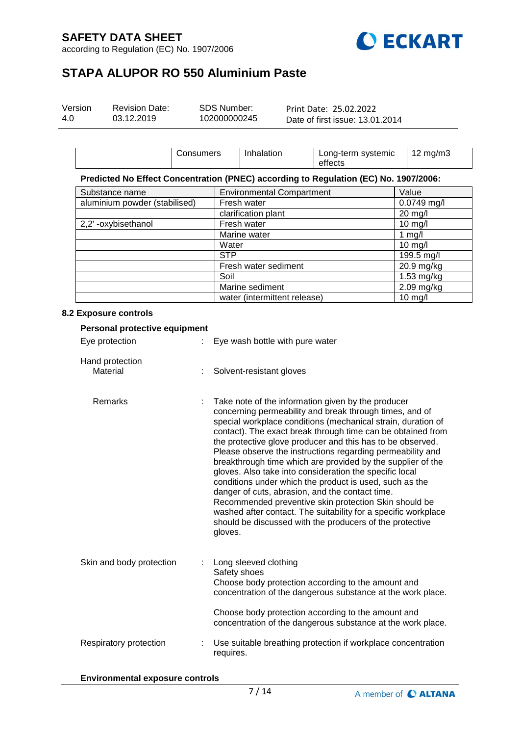according to Regulation (EC) No. 1907/2006



# **STAPA ALUPOR RO 550 Aluminium Paste**

| Version | <b>Revision Date:</b> | SDS Number:  | Print Date: 25.02.2022          |  |
|---------|-----------------------|--------------|---------------------------------|--|
| 4.0     | 03.12.2019            | 102000000245 | Date of first issue: 13.01.2014 |  |

|                               | Consumers | Inhalation                       | Long-term systemic<br>effects                                                        | $12 \text{ mg/m}$ |
|-------------------------------|-----------|----------------------------------|--------------------------------------------------------------------------------------|-------------------|
|                               |           |                                  | Predicted No Effect Concentration (PNEC) according to Regulation (EC) No. 1907/2006: |                   |
| Substance name                |           | <b>Environmental Compartment</b> |                                                                                      | Value             |
| aluminium powder (stabilised) |           | Fresh water                      |                                                                                      | $0.0749$ mg/l     |
|                               |           | clarification plant              |                                                                                      | $20$ mg/l         |
| 2,2'-oxybisethanol            |           | Fresh water                      |                                                                                      | $10$ mg/l         |
|                               |           | Marine water                     |                                                                                      | 1 mg/l            |
|                               |           | Water                            |                                                                                      | $10$ mg/l         |
|                               |           | <b>STP</b>                       |                                                                                      | 199.5 mg/l        |
|                               |           | Fresh water sediment             |                                                                                      | 20.9 mg/kg        |
|                               |           | Soil                             |                                                                                      | 1.53 mg/kg        |
|                               |           | Marine sediment                  |                                                                                      | 2.09 mg/kg        |
|                               |           | water (intermittent release)     |                                                                                      | $10$ mg/l         |

### **8.2 Exposure controls**

| Personal protective equipment |  |                                                                                                                                                                                                                                                                                                                                                                                                                                                                                                                                                                                                                                                                                                                                                                                                                    |
|-------------------------------|--|--------------------------------------------------------------------------------------------------------------------------------------------------------------------------------------------------------------------------------------------------------------------------------------------------------------------------------------------------------------------------------------------------------------------------------------------------------------------------------------------------------------------------------------------------------------------------------------------------------------------------------------------------------------------------------------------------------------------------------------------------------------------------------------------------------------------|
| Eye protection                |  | Eye wash bottle with pure water                                                                                                                                                                                                                                                                                                                                                                                                                                                                                                                                                                                                                                                                                                                                                                                    |
| Hand protection<br>Material   |  | Solvent-resistant gloves                                                                                                                                                                                                                                                                                                                                                                                                                                                                                                                                                                                                                                                                                                                                                                                           |
| Remarks                       |  | Take note of the information given by the producer<br>concerning permeability and break through times, and of<br>special workplace conditions (mechanical strain, duration of<br>contact). The exact break through time can be obtained from<br>the protective glove producer and this has to be observed.<br>Please observe the instructions regarding permeability and<br>breakthrough time which are provided by the supplier of the<br>gloves. Also take into consideration the specific local<br>conditions under which the product is used, such as the<br>danger of cuts, abrasion, and the contact time.<br>Recommended preventive skin protection Skin should be<br>washed after contact. The suitability for a specific workplace<br>should be discussed with the producers of the protective<br>gloves. |
| Skin and body protection      |  | Long sleeved clothing<br>Safety shoes<br>Choose body protection according to the amount and<br>concentration of the dangerous substance at the work place.                                                                                                                                                                                                                                                                                                                                                                                                                                                                                                                                                                                                                                                         |
|                               |  | Choose body protection according to the amount and<br>concentration of the dangerous substance at the work place.                                                                                                                                                                                                                                                                                                                                                                                                                                                                                                                                                                                                                                                                                                  |
| Respiratory protection        |  | Use suitable breathing protection if workplace concentration<br>requires.                                                                                                                                                                                                                                                                                                                                                                                                                                                                                                                                                                                                                                                                                                                                          |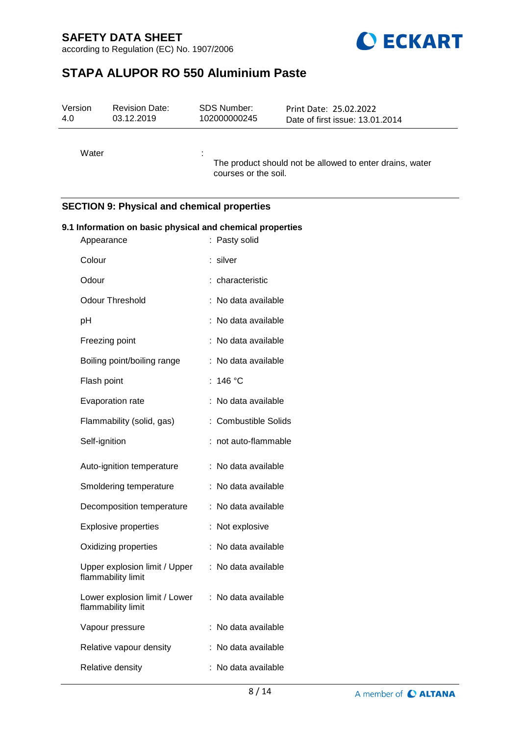according to Regulation (EC) No. 1907/2006



# **STAPA ALUPOR RO 550 Aluminium Paste**

| Version<br>4.0                                     | <b>Revision Date:</b><br>03.12.2019 | <b>SDS Number:</b><br>102000000245 | Print Date: 25.02.2022<br>Date of first issue: 13.01.2014 |  |
|----------------------------------------------------|-------------------------------------|------------------------------------|-----------------------------------------------------------|--|
| Water                                              |                                     | courses or the soil.               | The product should not be allowed to enter drains, water  |  |
| <b>SECTION 9: Physical and chemical properties</b> |                                     |                                    |                                                           |  |

# **9.1 Information on basic physical and chemical properties** Appearance : Pasty solid Colour : silver Odour : characteristic Odour Threshold : No data available pH : No data available Freezing point : No data available Boiling point/boiling range : No data available Flash point : 146 °C Evaporation rate : No data available Flammability (solid, gas) : Combustible Solids Self-ignition : not auto-flammable Auto-ignition temperature : No data available Smoldering temperature : No data available Decomposition temperature : No data available Explosive properties : Not explosive Oxidizing properties : No data available Upper explosion limit / Upper flammability limit : No data available Lower explosion limit / Lower flammability limit : No data available Vapour pressure : No data available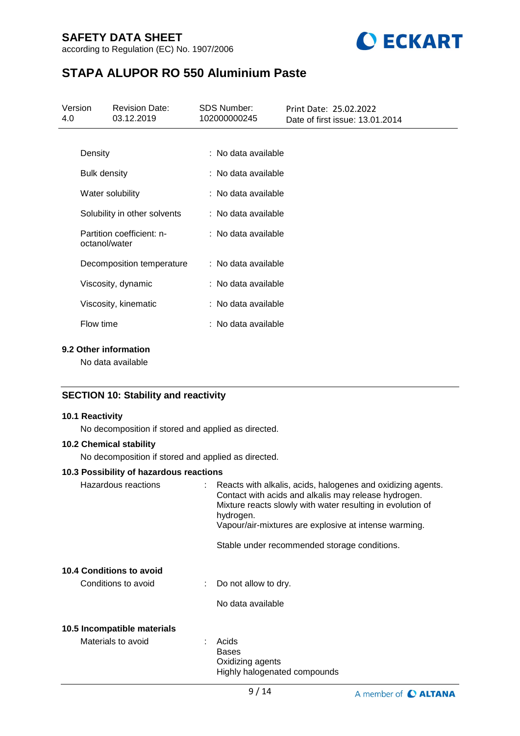according to Regulation (EC) No. 1907/2006



# **STAPA ALUPOR RO 550 Aluminium Paste**

| Version<br>4.0 |                                            | <b>Revision Date:</b><br>03.12.2019 | <b>SDS Number:</b><br>102000000245 | Print Date: 25.02.2022<br>Date of first issue: 13.01.2014 |  |
|----------------|--------------------------------------------|-------------------------------------|------------------------------------|-----------------------------------------------------------|--|
|                |                                            |                                     |                                    |                                                           |  |
|                | Density                                    |                                     | : No data available                |                                                           |  |
|                | <b>Bulk density</b>                        |                                     | : No data available                |                                                           |  |
|                | Water solubility                           |                                     | : No data available                |                                                           |  |
|                | Solubility in other solvents               |                                     | : No data available                |                                                           |  |
|                | Partition coefficient: n-<br>octanol/water |                                     | : No data available                |                                                           |  |
|                | Decomposition temperature                  |                                     | : No data available                |                                                           |  |
|                | Viscosity, dynamic                         |                                     | : No data available                |                                                           |  |
|                | Viscosity, kinematic                       |                                     | : No data available                |                                                           |  |
|                | Flow time                                  |                                     | : No data available                |                                                           |  |
|                |                                            |                                     |                                    |                                                           |  |

## **9.2 Other information**

No data available

## **SECTION 10: Stability and reactivity**

## **10.1 Reactivity**

No decomposition if stored and applied as directed.

## **10.2 Chemical stability**

No decomposition if stored and applied as directed.

### **10.3 Possibility of hazardous reactions**

| Hazardous reactions         | : Reacts with alkalis, acids, halogenes and oxidizing agents.<br>Contact with acids and alkalis may release hydrogen.<br>Mixture reacts slowly with water resulting in evolution of<br>hydrogen.<br>Vapour/air-mixtures are explosive at intense warming. |
|-----------------------------|-----------------------------------------------------------------------------------------------------------------------------------------------------------------------------------------------------------------------------------------------------------|
|                             | Stable under recommended storage conditions.                                                                                                                                                                                                              |
| 10.4 Conditions to avoid    |                                                                                                                                                                                                                                                           |
| Conditions to avoid         | $\therefore$ Do not allow to dry.                                                                                                                                                                                                                         |
|                             | No data available                                                                                                                                                                                                                                         |
| 10.5 Incompatible materials |                                                                                                                                                                                                                                                           |
| Materials to avoid          | Acids<br><b>Bases</b><br>Oxidizing agents<br>Highly halogenated compounds                                                                                                                                                                                 |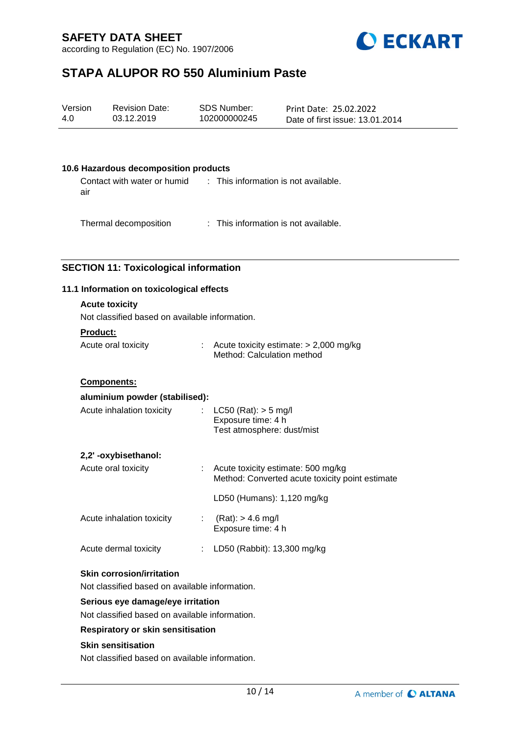according to Regulation (EC) No. 1907/2006



# **STAPA ALUPOR RO 550 Aluminium Paste**

| Version | <b>Revision Date:</b> | SDS Number:  | Print Date: 25.02.2022          |
|---------|-----------------------|--------------|---------------------------------|
| 4.0     | 03.12.2019            | 102000000245 | Date of first issue: 13.01.2014 |

### **10.6 Hazardous decomposition products**

Contact with water or humid air : This information is not available.

Thermal decomposition : This information is not available.

### **SECTION 11: Toxicological information**

### **11.1 Information on toxicological effects**

# **Acute toxicity**

Not classified based on available information.

### **Product:**

| Acute oral toxicity | Acute toxicity estimate: $> 2,000$ mg/kg |
|---------------------|------------------------------------------|
|                     | Method: Calculation method               |

### **Components:**

| aluminium powder (stabilised):   |                                                                                       |
|----------------------------------|---------------------------------------------------------------------------------------|
| Acute inhalation toxicity        | : $LC50$ (Rat): $> 5$ mg/l<br>Exposure time: 4 h<br>Test atmosphere: dust/mist        |
| 2,2'-oxybisethanol:              |                                                                                       |
| Acute oral toxicity              | Acute toxicity estimate: 500 mg/kg<br>Method: Converted acute toxicity point estimate |
|                                  | LD50 (Humans): 1,120 mg/kg                                                            |
| Acute inhalation toxicity        | : $(Rat):$ > 4.6 mg/l<br>Exposure time: 4 h                                           |
| Acute dermal toxicity            | LD50 (Rabbit): 13,300 mg/kg                                                           |
| <b>Skin corrosion/irritation</b> |                                                                                       |

Not classified based on available information.

### **Serious eye damage/eye irritation**

Not classified based on available information.

### **Respiratory or skin sensitisation**

### **Skin sensitisation**

Not classified based on available information.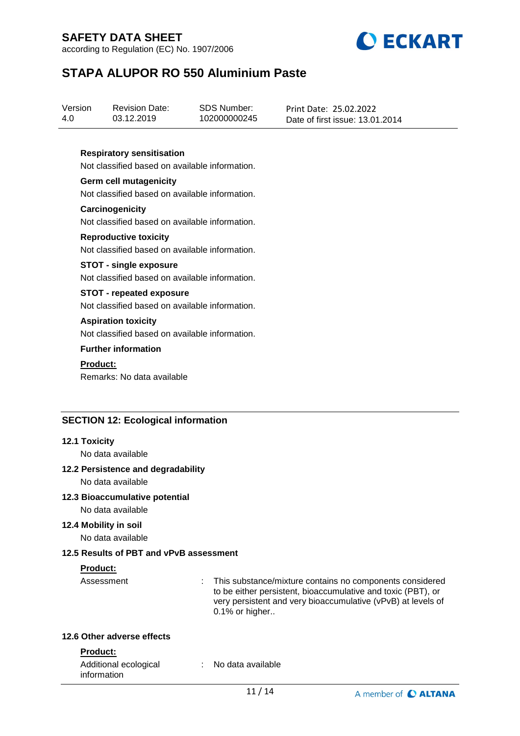according to Regulation (EC) No. 1907/2006



# **STAPA ALUPOR RO 550 Aluminium Paste**

| Version | <b>Revision Date:</b> | SDS Number:  | Print Date: 25.02.2022          |
|---------|-----------------------|--------------|---------------------------------|
| 4.0     | 03.12.2019            | 102000000245 | Date of first issue: 13.01.2014 |

### **Respiratory sensitisation**

Not classified based on available information.

**Germ cell mutagenicity** Not classified based on available information.

**Carcinogenicity** Not classified based on available information.

#### **Reproductive toxicity**

Not classified based on available information.

#### **STOT - single exposure**

Not classified based on available information.

### **STOT - repeated exposure**

Not classified based on available information.

#### **Aspiration toxicity**

Not classified based on available information.

#### **Further information**

#### **Product:**

Remarks: No data available

### **SECTION 12: Ecological information**

#### **12.1 Toxicity**

No data available

#### **12.2 Persistence and degradability**

No data available

#### **12.3 Bioaccumulative potential**

No data available

## **12.4 Mobility in soil**

No data available

### **12.5 Results of PBT and vPvB assessment**

#### **Product:**

Assessment : This substance/mixture contains no components considered to be either persistent, bioaccumulative and toxic (PBT), or very persistent and very bioaccumulative (vPvB) at levels of  $0.1\%$  or higher..

### **12.6 Other adverse effects**

#### **Product:**

| Additional ecological | No data available |  |
|-----------------------|-------------------|--|
| information           |                   |  |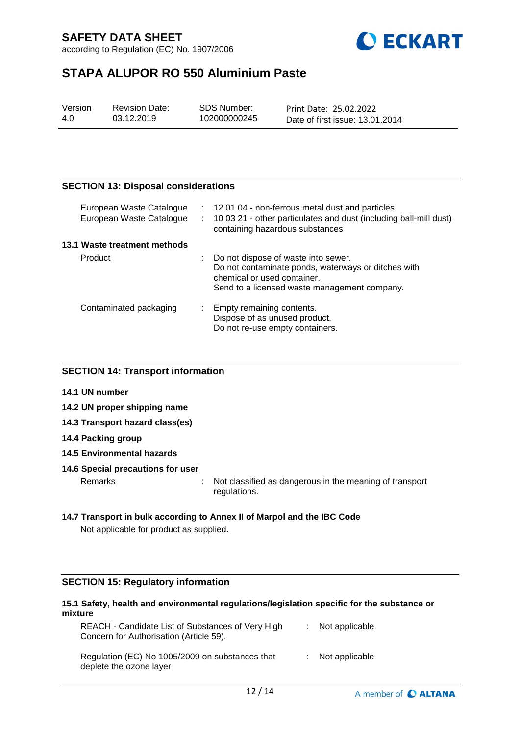according to Regulation (EC) No. 1907/2006



# **STAPA ALUPOR RO 550 Aluminium Paste**

| Version | <b>Revision Date:</b> | SDS Number:  | Print Date: 25.02.2022          |
|---------|-----------------------|--------------|---------------------------------|
| 4.0     | 03.12.2019            | 102000000245 | Date of first issue: 13.01.2014 |

## **SECTION 13: Disposal considerations**

| European Waste Catalogue<br>European Waste Catalogue | t in<br>÷. | 120104 - non-ferrous metal dust and particles<br>10 03 21 - other particulates and dust (including ball-mill dust)<br>containing hazardous substances                     |
|------------------------------------------------------|------------|---------------------------------------------------------------------------------------------------------------------------------------------------------------------------|
| 13.1 Waste treatment methods                         |            |                                                                                                                                                                           |
| Product                                              |            | Do not dispose of waste into sewer.<br>Do not contaminate ponds, waterways or ditches with<br>chemical or used container.<br>Send to a licensed waste management company. |
| Contaminated packaging                               |            | Empty remaining contents.<br>Dispose of as unused product.<br>Do not re-use empty containers.                                                                             |

### **SECTION 14: Transport information**

- **14.1 UN number**
- **14.2 UN proper shipping name**
- **14.3 Transport hazard class(es)**
- **14.4 Packing group**
- **14.5 Environmental hazards**

#### **14.6 Special precautions for user**

Remarks : Not classified as dangerous in the meaning of transport regulations.

## **14.7 Transport in bulk according to Annex II of Marpol and the IBC Code** Not applicable for product as supplied.

# **SECTION 15: Regulatory information**

### **15.1 Safety, health and environmental regulations/legislation specific for the substance or mixture**

| REACH - Candidate List of Substances of Very High<br>Concern for Authorisation (Article 59). | $:$ Not applicable |  |
|----------------------------------------------------------------------------------------------|--------------------|--|
| Regulation (EC) No 1005/2009 on substances that<br>deplete the ozone layer                   | $:$ Not applicable |  |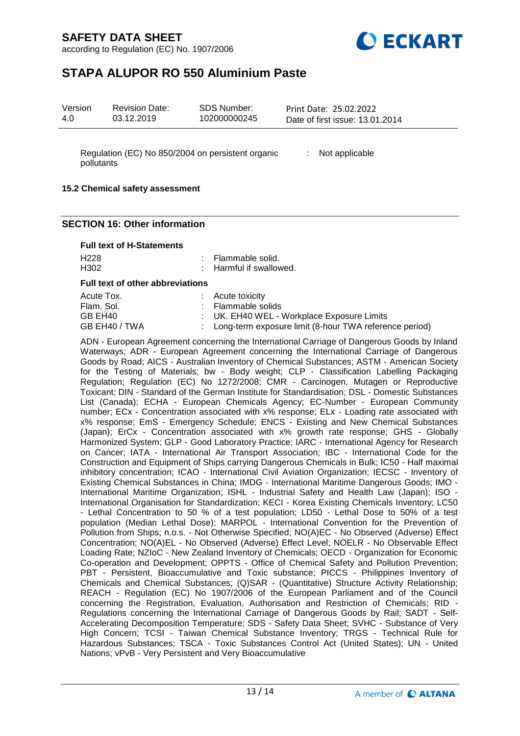according to Regulation (EC) No. 1907/2006



# **STAPA ALUPOR RO 550 Aluminium Paste**

Regulation (EC) No 850/2004 on persistent organic : Not applicable pollutants

### **15.2 Chemical safety assessment**

### **SECTION 16: Other information**

#### **Full text of H-Statements**

| H <sub>228</sub>                        | : Flammable solid.                                       |
|-----------------------------------------|----------------------------------------------------------|
| H <sub>302</sub>                        | : Harmful if swallowed.                                  |
| <b>Full text of other abbreviations</b> |                                                          |
| Acute Tox.                              | $:$ Acute toxicity                                       |
| Flam, Sol.                              | : Flammable solids                                       |
| GB EH40                                 | : UK. EH40 WEL - Workplace Exposure Limits               |
| GB EH40 / TWA                           | : Long-term exposure limit (8-hour TWA reference period) |

ADN - European Agreement concerning the International Carriage of Dangerous Goods by Inland Waterways; ADR - European Agreement concerning the International Carriage of Dangerous Goods by Road; AICS - Australian Inventory of Chemical Substances; ASTM - American Society for the Testing of Materials; bw - Body weight; CLP - Classification Labelling Packaging Regulation; Regulation (EC) No 1272/2008; CMR - Carcinogen, Mutagen or Reproductive Toxicant; DIN - Standard of the German Institute for Standardisation; DSL - Domestic Substances List (Canada); ECHA - European Chemicals Agency; EC-Number - European Community number; ECx - Concentration associated with x% response; ELx - Loading rate associated with x% response; EmS - Emergency Schedule; ENCS - Existing and New Chemical Substances (Japan); ErCx - Concentration associated with x% growth rate response; GHS - Globally Harmonized System; GLP - Good Laboratory Practice; IARC - International Agency for Research on Cancer; IATA - International Air Transport Association; IBC - International Code for the Construction and Equipment of Ships carrying Dangerous Chemicals in Bulk; IC50 - Half maximal inhibitory concentration; ICAO - International Civil Aviation Organization; IECSC - Inventory of Existing Chemical Substances in China; IMDG - International Maritime Dangerous Goods; IMO - International Maritime Organization; ISHL - Industrial Safety and Health Law (Japan); ISO - International Organisation for Standardization; KECI - Korea Existing Chemicals Inventory; LC50 - Lethal Concentration to 50 % of a test population; LD50 - Lethal Dose to 50% of a test population (Median Lethal Dose); MARPOL - International Convention for the Prevention of Pollution from Ships; n.o.s. - Not Otherwise Specified; NO(A)EC - No Observed (Adverse) Effect Concentration; NO(A)EL - No Observed (Adverse) Effect Level; NOELR - No Observable Effect Loading Rate; NZIoC - New Zealand Inventory of Chemicals; OECD - Organization for Economic Co-operation and Development; OPPTS - Office of Chemical Safety and Pollution Prevention; PBT - Persistent, Bioaccumulative and Toxic substance; PICCS - Philippines Inventory of Chemicals and Chemical Substances; (Q)SAR - (Quantitative) Structure Activity Relationship; REACH - Regulation (EC) No 1907/2006 of the European Parliament and of the Council concerning the Registration, Evaluation, Authorisation and Restriction of Chemicals; RID - Regulations concerning the International Carriage of Dangerous Goods by Rail; SADT - Self-Accelerating Decomposition Temperature; SDS - Safety Data Sheet; SVHC - Substance of Very High Concern; TCSI - Taiwan Chemical Substance Inventory; TRGS - Technical Rule for Hazardous Substances; TSCA - Toxic Substances Control Act (United States); UN - United Nations; vPvB - Very Persistent and Very Bioaccumulative